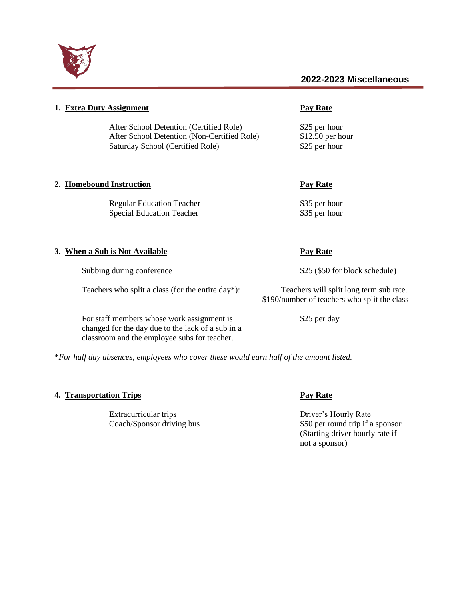

| 1. Extra Duty Assignment                                                                                                                        | <b>Pay Rate</b>                                                                         |
|-------------------------------------------------------------------------------------------------------------------------------------------------|-----------------------------------------------------------------------------------------|
| After School Detention (Certified Role)<br>After School Detention (Non-Certified Role)<br>Saturday School (Certified Role)                      | \$25 per hour<br>$$12.50$ per hour<br>\$25 per hour                                     |
| 2. Homebound Instruction                                                                                                                        | <b>Pay Rate</b>                                                                         |
| <b>Regular Education Teacher</b><br><b>Special Education Teacher</b>                                                                            | \$35 per hour<br>\$35 per hour                                                          |
| 3. When a Sub is Not Available                                                                                                                  | <b>Pay Rate</b>                                                                         |
| Subbing during conference                                                                                                                       | \$25 (\$50 for block schedule)                                                          |
| Teachers who split a class (for the entire day*):                                                                                               | Teachers will split long term sub rate.<br>\$190/number of teachers who split the class |
| For staff members whose work assignment is<br>changed for the day due to the lack of a sub in a<br>classroom and the employee subs for teacher. | \$25 per day                                                                            |

\**For half day absences, employees who cover these would earn half of the amount listed.* 

# **4. Transportation Trips Pay Rate**

Extracurricular trips Driver's Hourly Rate<br>Coach/Sponsor driving bus \$50 per round trip if a

\$50 per round trip if a sponsor (Starting driver hourly rate if not a sponsor)